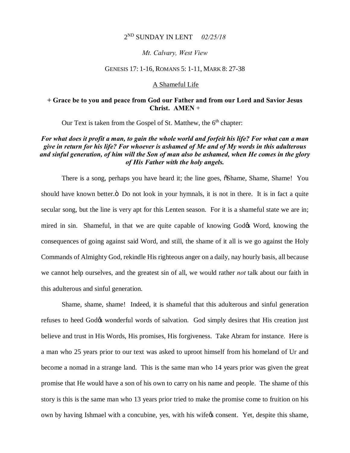### 2ND SUNDAY IN LENT *02/25/18*

#### *Mt. Calvary, West View*

#### GENESIS 17: 1-16, ROMANS 5: 1-11, MARK 8: 27-38

#### A Shameful Life

## **+ Grace be to you and peace from God our Father and from our Lord and Savior Jesus Christ. AMEN** +

Our Text is taken from the Gospel of St. Matthew, the  $6<sup>th</sup>$  chapter:

## *For what does it profit a man, to gain the whole world and forfeit his life? For what can a man give in return for his life? For whoever is ashamed of Me and of My words in this adulterous and sinful generation, of him will the Son of man also be ashamed, when He comes in the glory of His Father with the holy angels.*

There is a song, perhaps you have heard it; the line goes,  $\tilde{\alpha}$ Shame, Shame, Shame! You should have known better. $\ddot{o}$  Do not look in your hymnals, it is not in there. It is in fact a quite secular song, but the line is very apt for this Lenten season. For it is a shameful state we are in; mired in sin. Shameful, in that we are quite capable of knowing Godos Word, knowing the consequences of going against said Word, and still, the shame of it all is we go against the Holy Commands of Almighty God, rekindle His righteous anger on a daily, nay hourly basis, all because we cannot help ourselves, and the greatest sin of all, we would rather *not* talk about our faith in this adulterous and sinful generation.

Shame, shame, shame! Indeed, it is shameful that this adulterous and sinful generation refuses to heed God& wonderful words of salvation. God simply desires that His creation just believe and trust in His Words, His promises, His forgiveness. Take Abram for instance. Here is a man who 25 years prior to our text was asked to uproot himself from his homeland of Ur and become a nomad in a strange land. This is the same man who 14 years prior was given the great promise that He would have a son of his own to carry on his name and people. The shame of this story is this is the same man who 13 years prior tried to make the promise come to fruition on his own by having Ishmael with a concubine, yes, with his wifegs consent. Yet, despite this shame,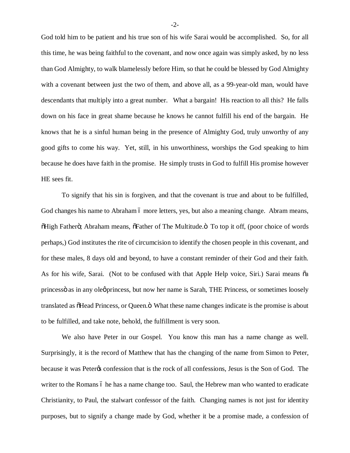God told him to be patient and his true son of his wife Sarai would be accomplished. So, for all this time, he was being faithful to the covenant, and now once again was simply asked, by no less than God Almighty, to walk blamelessly before Him, so that he could be blessed by God Almighty with a covenant between just the two of them, and above all, as a 99-year-old man, would have descendants that multiply into a great number. What a bargain! His reaction to all this? He falls down on his face in great shame because he knows he cannot fulfill his end of the bargain. He knows that he is a sinful human being in the presence of Almighty God, truly unworthy of any good gifts to come his way. Yet, still, in his unworthiness, worships the God speaking to him because he does have faith in the promise. He simply trusts in God to fulfill His promise however HE sees fit.

To signify that his sin is forgiven, and that the covenant is true and about to be fulfilled, God changes his name to Abraham 6 more letters, yes, but also a meaning change. Abram means,  $\tilde{\text{O}}$ High Fatherö; Abraham means,  $\tilde{\text{O}}$ Father of The Multitude. $\tilde{\text{o}}$  To top it off, (poor choice of words perhaps,) God institutes the rite of circumcision to identify the chosen people in this covenant, and for these males, 8 days old and beyond, to have a constant reminder of their God and their faith. As for his wife, Sarai. (Not to be confused with that Apple Help voice, Siri.) Sarai means  $\tilde{o}a$ princessö as in any oleoprincess, but now her name is Sarah, THE Princess, or sometimes loosely translated as  $\delta$ Head Princess, or Queen. $\ddot{o}$  What these name changes indicate is the promise is about to be fulfilled, and take note, behold, the fulfillment is very soon.

We also have Peter in our Gospel. You know this man has a name change as well. Surprisingly, it is the record of Matthew that has the changing of the name from Simon to Peter, because it was Peter<sub>'s</sub> confession that is the rock of all confessions, Jesus is the Son of God. The writer to the Romans 6 he has a name change too. Saul, the Hebrew man who wanted to eradicate Christianity, to Paul, the stalwart confessor of the faith. Changing names is not just for identity purposes, but to signify a change made by God, whether it be a promise made, a confession of

-2-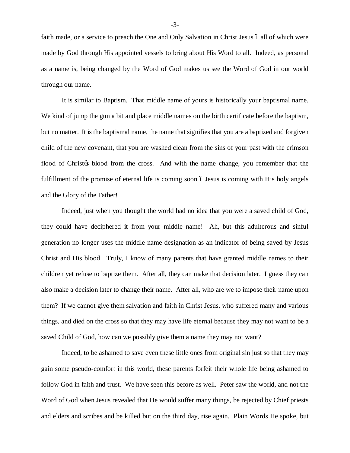faith made, or a service to preach the One and Only Salvation in Christ Jesus 6 all of which were made by God through His appointed vessels to bring about His Word to all. Indeed, as personal as a name is, being changed by the Word of God makes us see the Word of God in our world through our name.

It is similar to Baptism. That middle name of yours is historically your baptismal name. We kind of jump the gun a bit and place middle names on the birth certificate before the baptism, but no matter. It is the baptismal name, the name that signifies that you are a baptized and forgiven child of the new covenant, that you are washed clean from the sins of your past with the crimson flood of Christos blood from the cross. And with the name change, you remember that the fulfillment of the promise of eternal life is coming soon 6 Jesus is coming with His holy angels and the Glory of the Father!

Indeed, just when you thought the world had no idea that you were a saved child of God, they could have deciphered it from your middle name! Ah, but this adulterous and sinful generation no longer uses the middle name designation as an indicator of being saved by Jesus Christ and His blood. Truly, I know of many parents that have granted middle names to their children yet refuse to baptize them. After all, they can make that decision later. I guess they can also make a decision later to change their name. After all, who are we to impose their name upon them? If we cannot give them salvation and faith in Christ Jesus, who suffered many and various things, and died on the cross so that they may have life eternal because they may not want to be a saved Child of God, how can we possibly give them a name they may not want?

Indeed, to be ashamed to save even these little ones from original sin just so that they may gain some pseudo-comfort in this world, these parents forfeit their whole life being ashamed to follow God in faith and trust. We have seen this before as well. Peter saw the world, and not the Word of God when Jesus revealed that He would suffer many things, be rejected by Chief priests and elders and scribes and be killed but on the third day, rise again. Plain Words He spoke, but

-3-